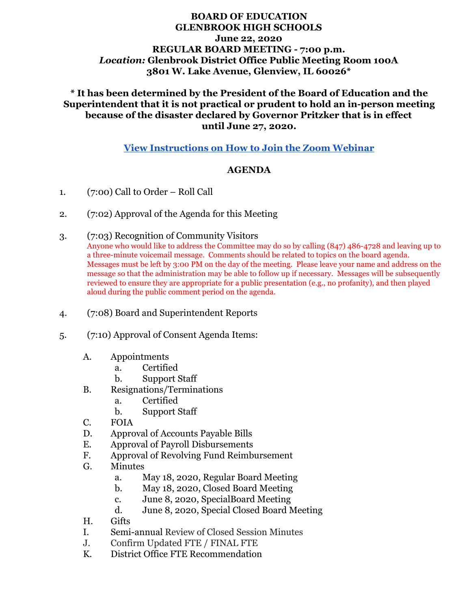## **BOARD OF EDUCATION GLENBROOK HIGH SCHOOLS June 22, 2020 REGULAR BOARD MEETING - 7:00 p.m.** *Location:* **Glenbrook District Office Public Meeting Room 100A 3801 W. Lake Avenue, Glenview, IL 60026\***

## **\* It has been determined by the President of the Board of Education and the Superintendent that it is not practical or prudent to hold an in-person meeting because of the disaster declared by Governor Pritzker that is in effect until June 27, 2020.**

## **[View Instructions on How to Join the Zoom Webinar](https://docs.google.com/document/d/1RVsmSBrzYUpFbHFcxXg_pPVCm9Y0_j0dLYAU85PwFBU/edit?usp=sharing)**

#### **AGENDA**

- 1. (7:00) Call to Order Roll Call
- 2. (7:02) Approval of the Agenda for this Meeting
- 3. (7:03) Recognition of Community Visitors

Anyone who would like to address the Committee may do so by calling (847) 486-4728 and leaving up to a three-minute voicemail message. Comments should be related to topics on the board agenda. Messages must be left by 3:00 PM on the day of the meeting. Please leave your name and address on the message so that the administration may be able to follow up if necessary. Messages will be subsequently reviewed to ensure they are appropriate for a public presentation (e.g., no profanity), and then played aloud during the public comment period on the agenda.

- 4. (7:08) Board and Superintendent Reports
- 5. (7:10) Approval of Consent Agenda Items:
	- A. Appointments
		- a. Certified
		- b. Support Staff
	- B. Resignations/Terminations
		- a. Certified
		- b. Support Staff
	- C. FOIA
	- D. Approval of Accounts Payable Bills
	- E. Approval of Payroll Disbursements
	- F. Approval of Revolving Fund Reimbursement
	- G. Minutes
		- a. May 18, 2020, Regular Board Meeting
		- b. May 18, 2020, Closed Board Meeting
		- c. June 8, 2020, SpecialBoard Meeting
		- d. June 8, 2020, Special Closed Board Meeting
	- H. Gifts
	- I. Semi-annual Review of Closed Session Minutes
	- J. Confirm Updated FTE / FINAL FTE
	- K. District Office FTE Recommendation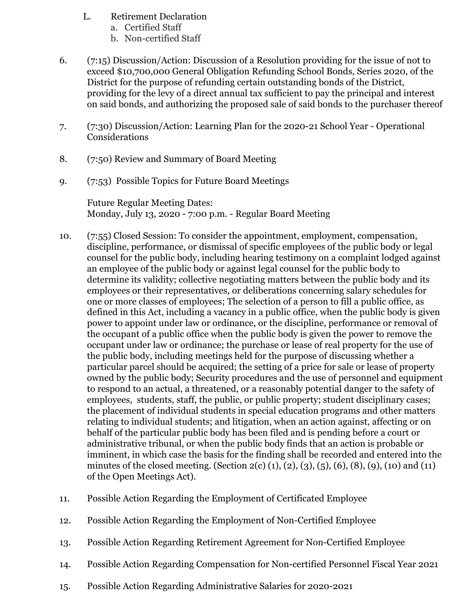- L. Retirement Declaration
	- a. Certified Staff
	- b. Non-certified Staff
- 6. (7:15) Discussion/Action: Discussion of a Resolution providing for the issue of not to exceed \$10,700,000 General Obligation Refunding School Bonds, Series 2020, of the District for the purpose of refunding certain outstanding bonds of the District, providing for the levy of a direct annual tax sufficient to pay the principal and interest on said bonds, and authorizing the proposed sale of said bonds to the purchaser thereof
- 7. (7:30) Discussion/Action: Learning Plan for the 2020-21 School Year Operational Considerations
- 8. (7:50) Review and Summary of Board Meeting
- 9. (7:53) Possible Topics for Future Board Meetings

Future Regular Meeting Dates: Monday, July 13, 2020 - 7:00 p.m. - Regular Board Meeting

- 10. (7:55) Closed Session: To consider the appointment, employment, compensation, discipline, performance, or dismissal of specific employees of the public body or legal counsel for the public body, including hearing testimony on a complaint lodged against an employee of the public body or against legal counsel for the public body to determine its validity; collective negotiating matters between the public body and its employees or their representatives, or deliberations concerning salary schedules for one or more classes of employees; The selection of a person to fill a public office, as defined in this Act, including a vacancy in a public office, when the public body is given power to appoint under law or ordinance, or the discipline, performance or removal of the occupant of a public office when the public body is given the power to remove the occupant under law or ordinance; the purchase or lease of real property for the use of the public body, including meetings held for the purpose of discussing whether a particular parcel should be acquired; the setting of a price for sale or lease of property owned by the public body; Security procedures and the use of personnel and equipment to respond to an actual, a threatened, or a reasonably potential danger to the safety of employees, students, staff, the public, or public property; student disciplinary cases; the placement of individual students in special education programs and other matters relating to individual students; and litigation, when an action against, affecting or on behalf of the particular public body has been filed and is pending before a court or administrative tribunal, or when the public body finds that an action is probable or imminent, in which case the basis for the finding shall be recorded and entered into the minutes of the closed meeting. (Section 2(c) (1), (2), (3), (5), (6), (8), (9), (10) and (11) of the Open Meetings Act).
- 11. Possible Action Regarding the Employment of Certificated Employee
- 12. Possible Action Regarding the Employment of Non-Certified Employee
- 13. Possible Action Regarding Retirement Agreement for Non-Certified Employee
- 14. Possible Action Regarding Compensation for Non-certified Personnel Fiscal Year 2021
- 15. Possible Action Regarding Administrative Salaries for 2020-2021